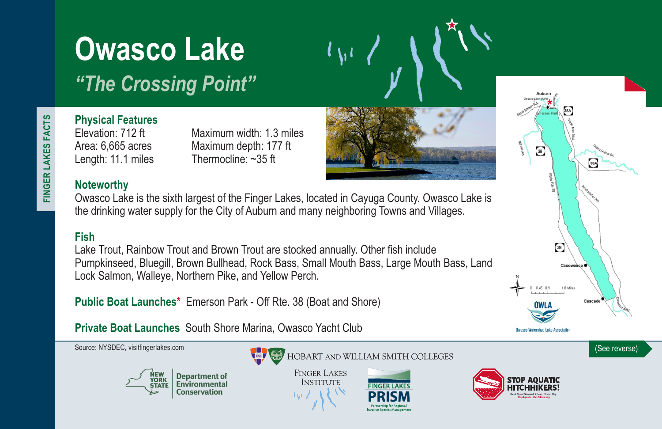# **Owasco Lake**

*"The Crossing Point"*

FINGER LAKES FACTS **FINGER LAKES FACTS**

# **Physical Features**

Elevation: 712 ft Maximum width: 1.3 miles Area: 6,665 acres Maximum depth: 177 ft Length: 11.1 miles Thermocline: ~35 ft

### **Noteworthy**

Owasco Lake is the sixth largest of the Finger Lakes, located in Cayuga County. Owasco Lake is the drinking water supply for the City of Auburn and many neighboring Towns and Villages.

## **Fish**

Lake Trout, Rainbow Trout and Brown Trout are stocked annually. Other fish include Pumpkinseed, Bluegill, Brown Bullhead, Rock Bass, Small Mouth Bass, Large Mouth Bass, Land Lock Salmon, Walleye, Northern Pike, and Yellow Perch.

**Public Boat Launches\*** Emerson Park - Off Rte. 38 (Boat and Shore)

**Private Boat Launches** South Shore Marina, Owasco Yacht Club



 $\circledast$ 

 $\circledast$ 

0.0.34.0

**Owasco Watershed Lake Association** 

Casowasco ·

Casca

1.8 Miles

38A